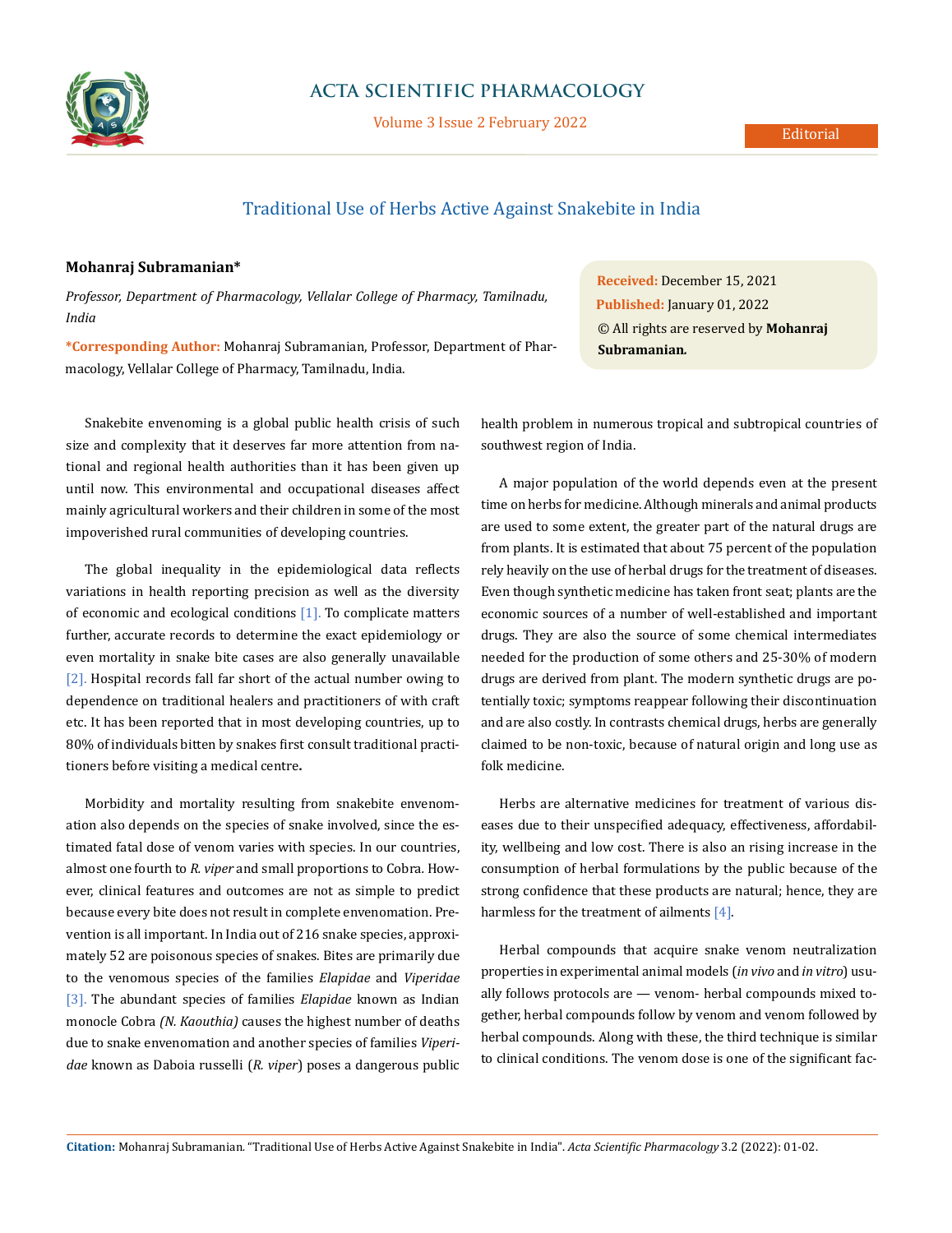

## **ACTA SCIENTIFIC PHARMACOLOGY**

Volume 3 Issue 2 February 2022

# Traditional Use of Herbs Active Against Snakebite in India

### **Mohanraj Subramanian\***

*Professor, Department of Pharmacology, Vellalar College of Pharmacy, Tamilnadu, India*

**\*Corresponding Author:** Mohanraj Subramanian, Professor, Department of Pharmacology, Vellalar College of Pharmacy, Tamilnadu, India.

Snakebite envenoming is a global public health crisis of such size and complexity that it deserves far more attention from national and regional health authorities than it has been given up until now. This environmental and occupational diseases affect mainly agricultural workers and their children in some of the most impoverished rural communities of developing countries.

The global inequality in the epidemiological data reflects variations in health reporting precision as well as the diversity of economic and ecological conditions  $[1]$ . To complicate matters further, accurate records to determine the exact epidemiology or even mortality in snake bite cases are also generally unavailable [2]. Hospital records fall far short of the actual number owing to dependence on traditional healers and practitioners of with craft etc. It has been reported that in most developing countries, up to 80% of individuals bitten by snakes first consult traditional practitioners before visiting a medical centre**.**

Morbidity and mortality resulting from snakebite envenomation also depends on the species of snake involved, since the estimated fatal dose of venom varies with species. In our countries, almost one fourth to *R. viper* and small proportions to Cobra*.* However, clinical features and outcomes are not as simple to predict because every bite does not result in complete envenomation. Prevention is all important. In India out of 216 snake species, approximately 52 are poisonous species of snakes. Bites are primarily due to the venomous species of the families *Elapidae* and *Viperidae*  [3]. The abundant species of families *Elapidae* known as Indian monocle Cobra *(N. Kaouthia)* causes the highest number of deaths due to snake envenomation and another species of families *Viperidae* known as Daboia russelli (*R. viper*) poses a dangerous public **Received:** December 15, 2021 **Published:** January 01, 2022 © All rights are reserved by **Mohanraj Subramanian***.*

health problem in numerous tropical and subtropical countries of southwest region of India.

A major population of the world depends even at the present time on herbs for medicine. Although minerals and animal products are used to some extent, the greater part of the natural drugs are from plants. It is estimated that about 75 percent of the population rely heavily on the use of herbal drugs for the treatment of diseases. Even though synthetic medicine has taken front seat; plants are the economic sources of a number of well-established and important drugs. They are also the source of some chemical intermediates needed for the production of some others and 25-30% of modern drugs are derived from plant. The modern synthetic drugs are potentially toxic; symptoms reappear following their discontinuation and are also costly. In contrasts chemical drugs, herbs are generally claimed to be non-toxic, because of natural origin and long use as folk medicine.

Herbs are alternative medicines for treatment of various diseases due to their unspecified adequacy, effectiveness, affordability, wellbeing and low cost. There is also an rising increase in the consumption of herbal formulations by the public because of the strong confidence that these products are natural; hence, they are harmless for the treatment of ailments [4].

Herbal compounds that acquire snake venom neutralization properties in experimental animal models (*in vivo* and *in vitro*) usually follows protocols are — venom- herbal compounds mixed together, herbal compounds follow by venom and venom followed by herbal compounds. Along with these, the third technique is similar to clinical conditions. The venom dose is one of the significant fac